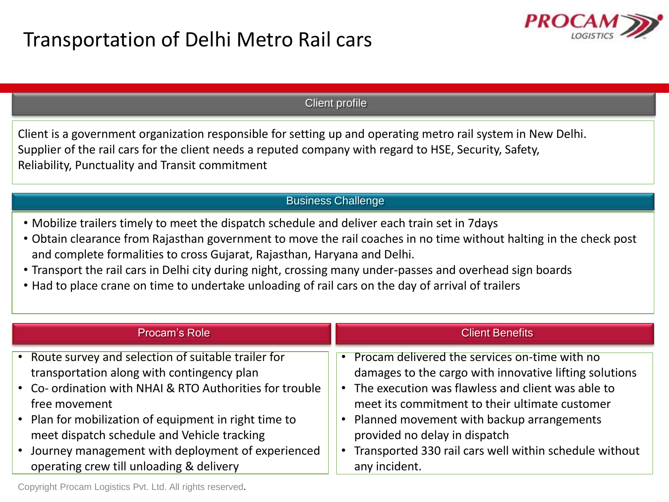

## Client profile

Client is a government organization responsible for setting up and operating metro rail system in New Delhi. Supplier of the rail cars for the client needs a reputed company with regard to HSE, Security, Safety, Reliability, Punctuality and Transit commitment

## Business Challenge

- Mobilize trailers timely to meet the dispatch schedule and deliver each train set in 7days
- Obtain clearance from Rajasthan government to move the rail coaches in no time without halting in the check post and complete formalities to cross Gujarat, Rajasthan, Haryana and Delhi.
- Transport the rail cars in Delhi city during night, crossing many under-passes and overhead sign boards
- Had to place crane on time to undertake unloading of rail cars on the day of arrival of trailers

| Procam's Role                                            | <b>Client Benefits</b>                                 |
|----------------------------------------------------------|--------------------------------------------------------|
| • Route survey and selection of suitable trailer for     | Procam delivered the services on-time with no          |
| transportation along with contingency plan               | damages to the cargo with innovative lifting solutions |
| • Co- ordination with NHAI & RTO Authorities for trouble | The execution was flawless and client was able to      |
| free movement                                            | meet its commitment to their ultimate customer         |
| • Plan for mobilization of equipment in right time to    | Planned movement with backup arrangements              |
| meet dispatch schedule and Vehicle tracking              | provided no delay in dispatch                          |
| Journey management with deployment of experienced        | Transported 330 rail cars well within schedule without |
| operating crew till unloading & delivery                 | any incident.                                          |

Copyright Procam Logistics Pvt. Ltd. All rights reserved.